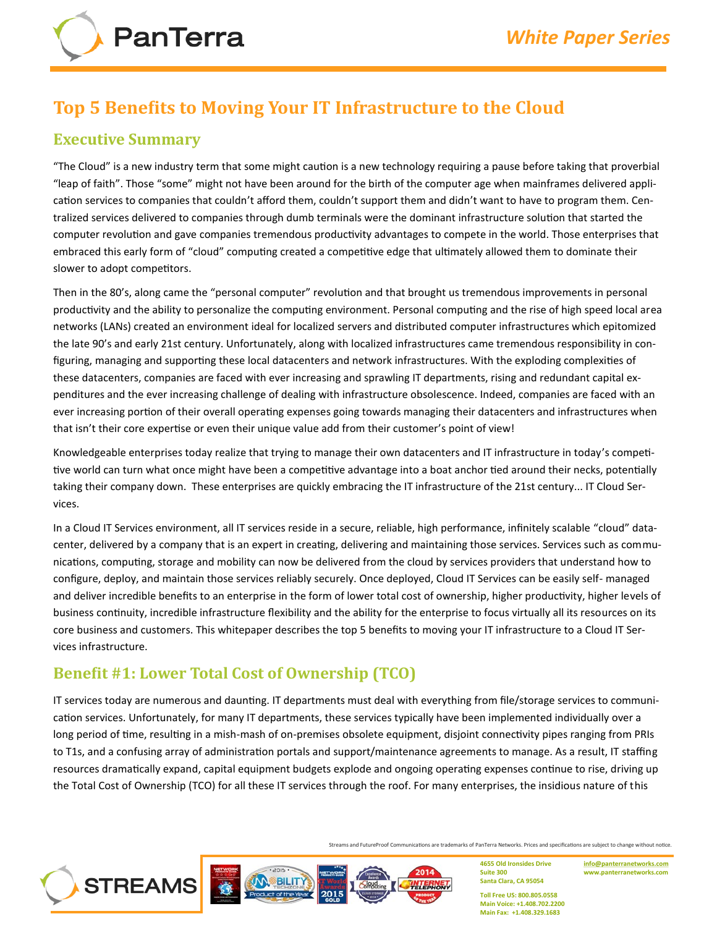

# **Top 5 Benefits to Moving Your IT Infrastructure to the Cloud**

#### **Executive Summary**

"The Cloud" is a new industry term that some might caution is a new technology requiring a pause before taking that proverbial "leap of faith". Those "some" might not have been around for the birth of the computer age when mainframes delivered application services to companies that couldn't afford them, couldn't support them and didn't want to have to program them. Centralized services delivered to companies through dumb terminals were the dominant infrastructure solution that started the computer revolution and gave companies tremendous productivity advantages to compete in the world. Those enterprises that embraced this early form of "cloud" computing created a competitive edge that ultimately allowed them to dominate their slower to adopt competitors.

Then in the 80's, along came the "personal computer" revolution and that brought us tremendous improvements in personal productivity and the ability to personalize the computing environment. Personal computing and the rise of high speed local area networks (LANs) created an environment ideal for localized servers and distributed computer infrastructures which epitomized the late 90's and early 21st century. Unfortunately, along with localized infrastructures came tremendous responsibility in configuring, managing and supporting these local datacenters and network infrastructures. With the exploding complexities of these datacenters, companies are faced with ever increasing and sprawling IT departments, rising and redundant capital expenditures and the ever increasing challenge of dealing with infrastructure obsolescence. Indeed, companies are faced with an ever increasing portion of their overall operating expenses going towards managing their datacenters and infrastructures when that isn't their core expertise or even their unique value add from their customer's point of view!

Knowledgeable enterprises today realize that trying to manage their own datacenters and IT infrastructure in today's competitive world can turn what once might have been a competitive advantage into a boat anchor tied around their necks, potentially taking their company down. These enterprises are quickly embracing the IT infrastructure of the 21st century... IT Cloud Services.

In a Cloud IT Services environment, all IT services reside in a secure, reliable, high performance, infinitely scalable "cloud" datacenter, delivered by a company that is an expert in creating, delivering and maintaining those services. Services such as communications, computing, storage and mobility can now be delivered from the cloud by services providers that understand how to configure, deploy, and maintain those services reliably securely. Once deployed, Cloud IT Services can be easily self- managed and deliver incredible benefits to an enterprise in the form of lower total cost of ownership, higher productivity, higher levels of business continuity, incredible infrastructure flexibility and the ability for the enterprise to focus virtually all its resources on its core business and customers. This whitepaper describes the top 5 benefits to moving your IT infrastructure to a Cloud IT Services infrastructure.

# **Benefit #1: Lower Total Cost of Ownership (TCO)**

**STREAMS** 

IT services today are numerous and daunting. IT departments must deal with everything from file/storage services to communication services. Unfortunately, for many IT departments, these services typically have been implemented individually over a long period of time, resulting in a mish-mash of on-premises obsolete equipment, disjoint connectivity pipes ranging from PRIs to T1s, and a confusing array of administration portals and support/maintenance agreements to manage. As a result, IT staffing resources dramatically expand, capital equipment budgets explode and ongoing operating expenses continue to rise, driving up the Total Cost of Ownership (TCO) for all these IT services through the roof. For many enterprises, the insidious nature of this

Streams and FutureProof Communications are trademarks of PanTerra Networks. Prices and specifications are subject to change without notice.



**4655 Old Ironsides Drive Suite 300 Santa Clara, CA 95054**

**[info@panterranetworks.com](mailto:info@panterranetworks.com) www.panterranetworks.com**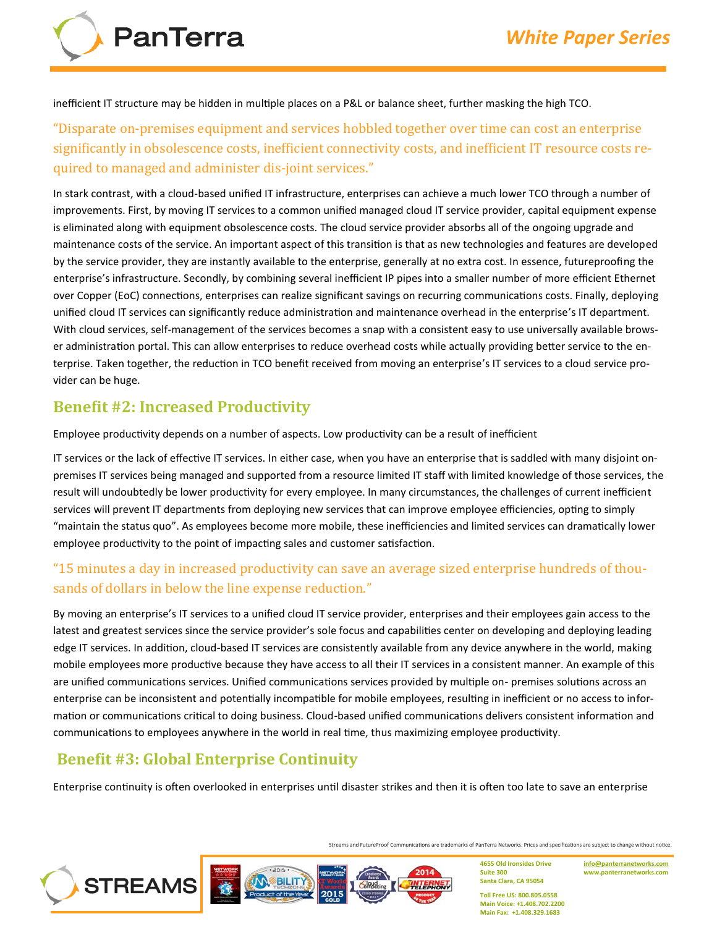**PanTerra** 

inefficient IT structure may be hidden in multiple places on a P&L or balance sheet, further masking the high TCO.

"Disparate on-premises equipment and services hobbled together over time can cost an enterprise significantly in obsolescence costs, inefficient connectivity costs, and inefficient IT resource costs required to managed and administer dis-joint services."

In stark contrast, with a cloud-based unified IT infrastructure, enterprises can achieve a much lower TCO through a number of improvements. First, by moving IT services to a common unified managed cloud IT service provider, capital equipment expense is eliminated along with equipment obsolescence costs. The cloud service provider absorbs all of the ongoing upgrade and maintenance costs of the service. An important aspect of this transition is that as new technologies and features are developed by the service provider, they are instantly available to the enterprise, generally at no extra cost. In essence, futureproofing the enterprise's infrastructure. Secondly, by combining several inefficient IP pipes into a smaller number of more efficient Ethernet over Copper (EoC) connections, enterprises can realize significant savings on recurring communications costs. Finally, deploying unified cloud IT services can significantly reduce administration and maintenance overhead in the enterprise's IT department. With cloud services, self-management of the services becomes a snap with a consistent easy to use universally available browser administration portal. This can allow enterprises to reduce overhead costs while actually providing better service to the enterprise. Taken together, the reduction in TCO benefit received from moving an enterprise's IT services to a cloud service provider can be huge.

### **Benefit #2: Increased Productivity**

Employee productivity depends on a number of aspects. Low productivity can be a result of inefficient

IT services or the lack of effective IT services. In either case, when you have an enterprise that is saddled with many disjoint onpremises IT services being managed and supported from a resource limited IT staff with limited knowledge of those services, the result will undoubtedly be lower productivity for every employee. In many circumstances, the challenges of current inefficient services will prevent IT departments from deploying new services that can improve employee efficiencies, opting to simply "maintain the status quo". As employees become more mobile, these inefficiencies and limited services can dramatically lower employee productivity to the point of impacting sales and customer satisfaction.

#### "15 minutes a day in increased productivity can save an average sized enterprise hundreds of thousands of dollars in below the line expense reduction."

By moving an enterprise's IT services to a unified cloud IT service provider, enterprises and their employees gain access to the latest and greatest services since the service provider's sole focus and capabilities center on developing and deploying leading edge IT services. In addition, cloud-based IT services are consistently available from any device anywhere in the world, making mobile employees more productive because they have access to all their IT services in a consistent manner. An example of this are unified communications services. Unified communications services provided by multiple on- premises solutions across an enterprise can be inconsistent and potentially incompatible for mobile employees, resulting in inefficient or no access to information or communications critical to doing business. Cloud-based unified communications delivers consistent information and communications to employees anywhere in the world in real time, thus maximizing employee productivity.

## **Benefit #3: Global Enterprise Continuity**

**STREAMS** 

Enterprise continuity is often overlooked in enterprises until disaster strikes and then it is often too late to save an enterprise

**BILIT** 

Streams and FutureProof Communications are trademarks of PanTerra Networks. Prices and specifications are subject to change without notice.

2014

**4655 Old Ironsides Drive Suite 300 Santa Clara, CA 95054**

**[info@panterranetworks.com](mailto:info@panterranetworks.com) www.panterranetworks.com**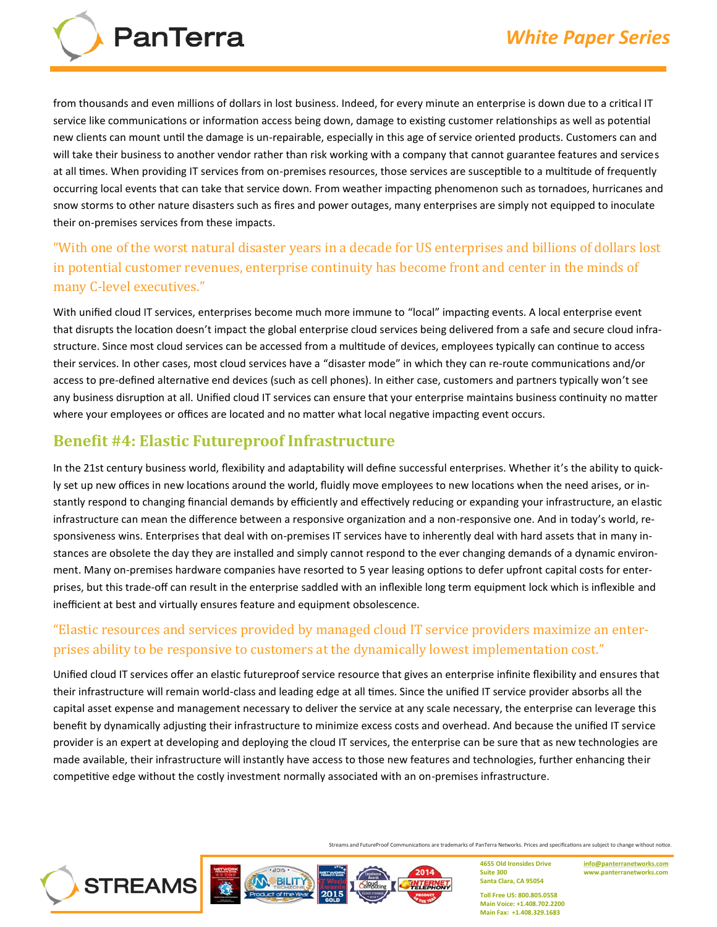

from thousands and even millions of dollars in lost business. Indeed, for every minute an enterprise is down due to a critical IT service like communications or information access being down, damage to existing customer relationships as well as potential new clients can mount until the damage is un-repairable, especially in this age of service oriented products. Customers can and will take their business to another vendor rather than risk working with a company that cannot guarantee features and services at all times. When providing IT services from on-premises resources, those services are susceptible to a multitude of frequently occurring local events that can take that service down. From weather impacting phenomenon such as tornadoes, hurricanes and snow storms to other nature disasters such as fires and power outages, many enterprises are simply not equipped to inoculate their on-premises services from these impacts.

### "With one of the worst natural disaster years in a decade for US enterprises and billions of dollars lost in potential customer revenues, enterprise continuity has become front and center in the minds of many C-level executives."

With unified cloud IT services, enterprises become much more immune to "local" impacting events. A local enterprise event that disrupts the location doesn't impact the global enterprise cloud services being delivered from a safe and secure cloud infrastructure. Since most cloud services can be accessed from a multitude of devices, employees typically can continue to access their services. In other cases, most cloud services have a "disaster mode" in which they can re-route communications and/or access to pre-defined alternative end devices (such as cell phones). In either case, customers and partners typically won't see any business disruption at all. Unified cloud IT services can ensure that your enterprise maintains business continuity no matter where your employees or offices are located and no matter what local negative impacting event occurs.

#### **Benefit #4: Elastic Futureproof Infrastructure**

In the 21st century business world, flexibility and adaptability will define successful enterprises. Whether it's the ability to quickly set up new offices in new locations around the world, fluidly move employees to new locations when the need arises, or instantly respond to changing financial demands by efficiently and effectively reducing or expanding your infrastructure, an elastic infrastructure can mean the difference between a responsive organization and a non-responsive one. And in today's world, responsiveness wins. Enterprises that deal with on-premises IT services have to inherently deal with hard assets that in many instances are obsolete the day they are installed and simply cannot respond to the ever changing demands of a dynamic environment. Many on-premises hardware companies have resorted to 5 year leasing options to defer upfront capital costs for enterprises, but this trade-off can result in the enterprise saddled with an inflexible long term equipment lock which is inflexible and inefficient at best and virtually ensures feature and equipment obsolescence.

#### "Elastic resources and services provided by managed cloud IT service providers maximize an enterprises ability to be responsive to customers at the dynamically lowest implementation cost."

Unified cloud IT services offer an elastic futureproof service resource that gives an enterprise infinite flexibility and ensures that their infrastructure will remain world-class and leading edge at all times. Since the unified IT service provider absorbs all the capital asset expense and management necessary to deliver the service at any scale necessary, the enterprise can leverage this benefit by dynamically adjusting their infrastructure to minimize excess costs and overhead. And because the unified IT service provider is an expert at developing and deploying the cloud IT services, the enterprise can be sure that as new technologies are made available, their infrastructure will instantly have access to those new features and technologies, further enhancing their competitive edge without the costly investment normally associated with an on-premises infrastructure.

Streams and FutureProof Communications are trademarks of PanTerra Networks. Prices and specifications are subject to change without notice.



**4655 Old Ironsides Drive Suite 300 Santa Clara, CA 95054**

**[info@panterranetworks.com](mailto:info@panterranetworks.com) www.panterranetworks.com**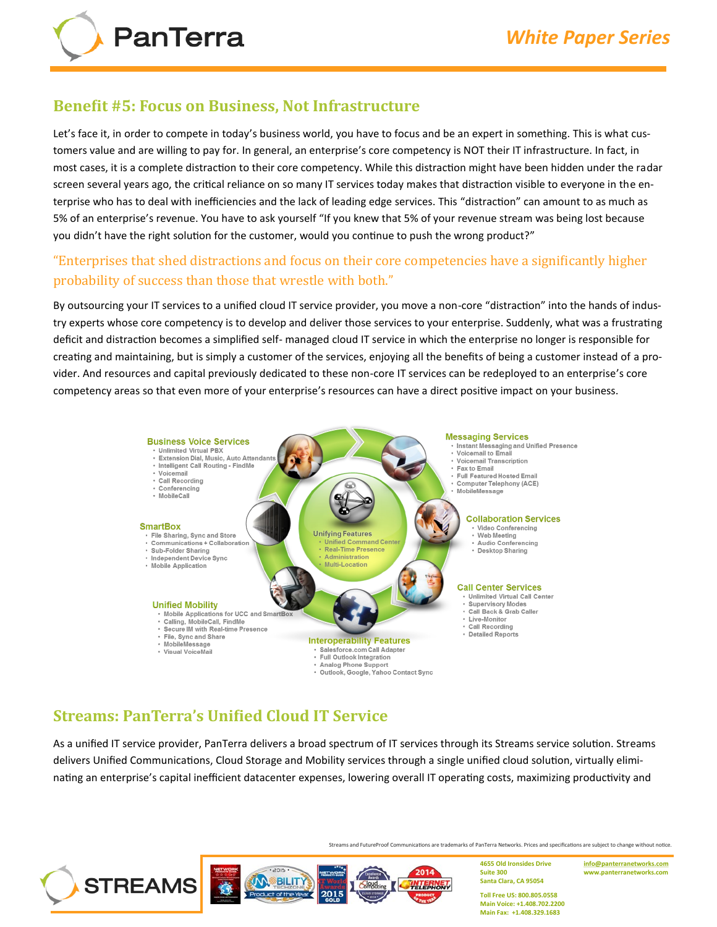#### **Benefit #5: Focus on Business, Not Infrastructure**

Let's face it, in order to compete in today's business world, you have to focus and be an expert in something. This is what customers value and are willing to pay for. In general, an enterprise's core competency is NOT their IT infrastructure. In fact, in most cases, it is a complete distraction to their core competency. While this distraction might have been hidden under the radar screen several years ago, the critical reliance on so many IT services today makes that distraction visible to everyone in the enterprise who has to deal with inefficiencies and the lack of leading edge services. This "distraction" can amount to as much as 5% of an enterprise's revenue. You have to ask yourself "If you knew that 5% of your revenue stream was being lost because you didn't have the right solution for the customer, would you continue to push the wrong product?"

#### "Enterprises that shed distractions and focus on their core competencies have a significantly higher probability of success than those that wrestle with both."

By outsourcing your IT services to a unified cloud IT service provider, you move a non-core "distraction" into the hands of industry experts whose core competency is to develop and deliver those services to your enterprise. Suddenly, what was a frustrating deficit and distraction becomes a simplified self- managed cloud IT service in which the enterprise no longer is responsible for creating and maintaining, but is simply a customer of the services, enjoying all the benefits of being a customer instead of a provider. And resources and capital previously dedicated to these non-core IT services can be redeployed to an enterprise's core competency areas so that even more of your enterprise's resources can have a direct positive impact on your business.



# **Streams: PanTerra's Unified Cloud IT Service**

As a unified IT service provider, PanTerra delivers a broad spectrum of IT services through its Streams service solution. Streams delivers Unified Communications, Cloud Storage and Mobility services through a single unified cloud solution, virtually eliminating an enterprise's capital inefficient datacenter expenses, lowering overall IT operating costs, maximizing productivity and

Streams and FutureProof Communications are trademarks of PanTerra Networks. Prices and specifications are subject to change without notice.

2014 **STREAMS** ĬΜ BILITY TELEPHONY SRKdtin 2015

**4655 Old Ironsides Drive Suite 300 Santa Clara, CA 95054**

**[info@panterranetworks.com](mailto:info@panterranetworks.com) www.panterranetworks.com**